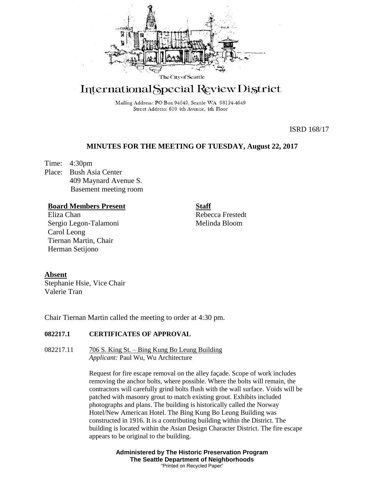

# International Special Review District

Mailing Address: PO Box 94649, Seattle WA 98124-4649 Street Address: 600 4th Avenue, 4th Floor

ISRD 168/17

## **MINUTES FOR THE MEETING OF TUESDAY, August 22, 2017**

Time: 4:30pm Place: Bush Asia Center 409 Maynard Avenue S. Basement meeting room

## **Board Members Present**

Eliza Chan Sergio Legon-Talamoni Carol Leong Tiernan Martin, Chair Herman Setijono

Rebecca Frestedt Melinda Bloom

**Staff**

### **Absent**

Stephanie Hsie, Vice Chair Valerie Tran

Chair Tiernan Martin called the meeting to order at 4:30 pm.

### **082217.1 CERTIFICATES OF APPROVAL**

082217.11 706 S. King St. – Bing Kung Bo Leung Building *Applicant:* Paul Wu, Wu Architecture

> Request for fire escape removal on the alley façade. Scope of work includes removing the anchor bolts, where possible. Where the bolts will remain, the contractors will carefully grind bolts flush with the wall surface. Voids will be patched with masonry grout to match existing grout. Exhibits included photographs and plans. The building is historically called the Norway Hotel/New American Hotel. The Bing Kung Bo Leung Building was constructed in 1916. It is a contributing building within the District. The building is located within the Asian Design Character District. The fire escape appears to be original to the building.

> > **Administered by The Historic Preservation Program The Seattle Department of Neighborhoods** "Printed on Recycled Paper"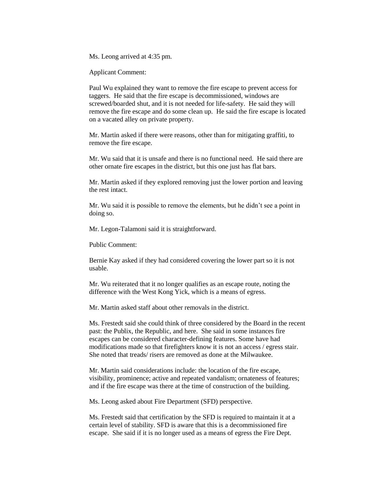Ms. Leong arrived at 4:35 pm.

Applicant Comment:

Paul Wu explained they want to remove the fire escape to prevent access for taggers. He said that the fire escape is decommissioned, windows are screwed/boarded shut, and it is not needed for life-safety. He said they will remove the fire escape and do some clean up. He said the fire escape is located on a vacated alley on private property.

Mr. Martin asked if there were reasons, other than for mitigating graffiti, to remove the fire escape.

Mr. Wu said that it is unsafe and there is no functional need. He said there are other ornate fire escapes in the district, but this one just has flat bars.

Mr. Martin asked if they explored removing just the lower portion and leaving the rest intact.

Mr. Wu said it is possible to remove the elements, but he didn't see a point in doing so.

Mr. Legon-Talamoni said it is straightforward.

Public Comment:

Bernie Kay asked if they had considered covering the lower part so it is not usable.

Mr. Wu reiterated that it no longer qualifies as an escape route, noting the difference with the West Kong Yick, which is a means of egress.

Mr. Martin asked staff about other removals in the district.

Ms. Frestedt said she could think of three considered by the Board in the recent past: the Publix, the Republic, and here. She said in some instances fire escapes can be considered character-defining features. Some have had modifications made so that firefighters know it is not an access / egress stair. She noted that treads/ risers are removed as done at the Milwaukee.

Mr. Martin said considerations include: the location of the fire escape, visibility, prominence; active and repeated vandalism; ornateness of features; and if the fire escape was there at the time of construction of the building.

Ms. Leong asked about Fire Department (SFD) perspective.

Ms. Frestedt said that certification by the SFD is required to maintain it at a certain level of stability. SFD is aware that this is a decommissioned fire escape. She said if it is no longer used as a means of egress the Fire Dept.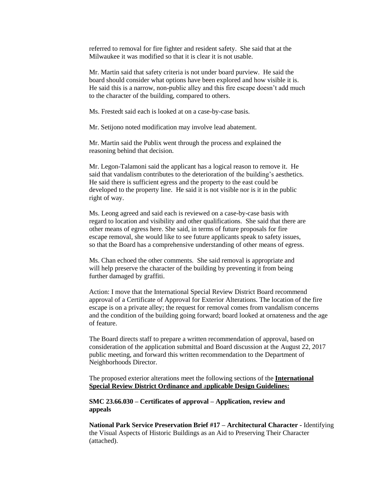referred to removal for fire fighter and resident safety. She said that at the Milwaukee it was modified so that it is clear it is not usable.

Mr. Martin said that safety criteria is not under board purview. He said the board should consider what options have been explored and how visible it is. He said this is a narrow, non-public alley and this fire escape doesn't add much to the character of the building, compared to others.

Ms. Frestedt said each is looked at on a case-by-case basis.

Mr. Setijono noted modification may involve lead abatement.

Mr. Martin said the Publix went through the process and explained the reasoning behind that decision.

Mr. Legon-Talamoni said the applicant has a logical reason to remove it. He said that vandalism contributes to the deterioration of the building's aesthetics. He said there is sufficient egress and the property to the east could be developed to the property line. He said it is not visible nor is it in the public right of way.

Ms. Leong agreed and said each is reviewed on a case-by-case basis with regard to location and visibility and other qualifications. She said that there are other means of egress here. She said, in terms of future proposals for fire escape removal, she would like to see future applicants speak to safety issues, so that the Board has a comprehensive understanding of other means of egress.

Ms. Chan echoed the other comments. She said removal is appropriate and will help preserve the character of the building by preventing it from being further damaged by graffiti.

Action: I move that the International Special Review District Board recommend approval of a Certificate of Approval for Exterior Alterations*.* The location of the fire escape is on a private alley; the request for removal comes from vandalism concerns and the condition of the building going forward; board looked at ornateness and the age of feature.

The Board directs staff to prepare a written recommendation of approval, based on consideration of the application submittal and Board discussion at the August 22, 2017 public meeting, and forward this written recommendation to the Department of Neighborhoods Director.

The proposed exterior alterations meet the following sections of the **International Special Review District Ordinance and** a**pplicable Design Guidelines:**

**SMC 23.66.030 – Certificates of approval – Application, review and appeals**

**National Park Service Preservation Brief #17 – Architectural Character -** Identifying the Visual Aspects of Historic Buildings as an Aid to Preserving Their Character (attached).